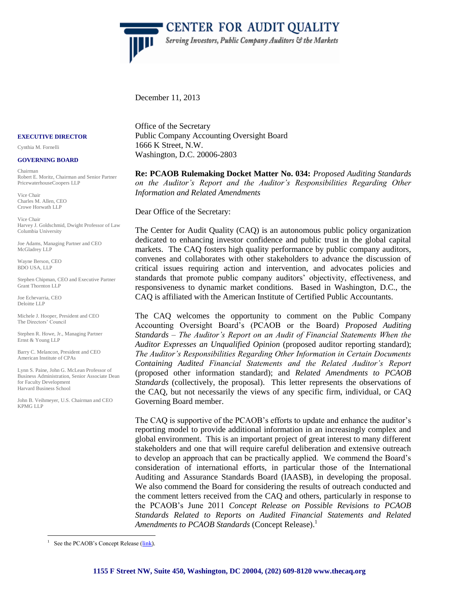

December 11, 2013

#### **EXECUTIVE DIRECTOR**

Cynthia M. Fornelli

#### **GOVERNING BOARD**

Chairman Robert E. Moritz, Chairman and Senior Partner PricewaterhouseCoopers LLP

Vice Chair Charles M. Allen, CEO Crowe Horwath LLP

Vice Chair Harvey J. Goldschmid, Dwight Professor of Law Columbia University

Joe Adams, Managing Partner and CEO McGladrey LLP

Wayne Berson, CEO BDO USA, LLP

Stephen Chipman, CEO and Executive Partner Grant Thornton LLP

Joe Echevarria, CEO Deloitte LLP

Michele J. Hooper, President and CEO The Directors' Council

Stephen R. Howe, Jr., Managing Partner Ernst & Young LLP

Barry C. Melancon, President and CEO American Institute of CPAs

Lynn S. Paine, John G. McLean Professor of Business Administration, Senior Associate Dean for Faculty Development Harvard Business School

John B. Veihmeyer, U.S. Chairman and CEO KPMG LLP

 $\overline{a}$ 

Office of the Secretary Public Company Accounting Oversight Board 1666 K Street, N.W. Washington, D.C. 20006-2803

**Re: PCAOB Rulemaking Docket Matter No. 034:** *Proposed Auditing Standards on the Auditor's Report and the Auditor's Responsibilities Regarding Other Information and Related Amendments*

Dear Office of the Secretary:

The Center for Audit Quality (CAQ) is an autonomous public policy organization dedicated to enhancing investor confidence and public trust in the global capital markets. The CAQ fosters high quality performance by public company auditors, convenes and collaborates with other stakeholders to advance the discussion of critical issues requiring action and intervention, and advocates policies and standards that promote public company auditors' objectivity, effectiveness, and responsiveness to dynamic market conditions. Based in Washington, D.C., the CAQ is affiliated with the American Institute of Certified Public Accountants.

The CAQ welcomes the opportunity to comment on the Public Company Accounting Oversight Board's (PCAOB or the Board) *Proposed Auditing Standards – The Auditor's Report on an Audit of Financial Statements When the Auditor Expresses an Unqualified Opinion* (proposed auditor reporting standard); *The Auditor's Responsibilities Regarding Other Information in Certain Documents Containing Audited Financial Statements and the Related Auditor's Report*  (proposed other information standard); and *Related Amendments to PCAOB Standards* (collectively, the proposal). This letter represents the observations of the CAQ, but not necessarily the views of any specific firm, individual, or CAQ Governing Board member.

The CAQ is supportive of the PCAOB's efforts to update and enhance the auditor's reporting model to provide additional information in an increasingly complex and global environment. This is an important project of great interest to many different stakeholders and one that will require careful deliberation and extensive outreach to develop an approach that can be practically applied. We commend the Board's consideration of international efforts, in particular those of the International Auditing and Assurance Standards Board (IAASB), in developing the proposal. We also commend the Board for considering the results of outreach conducted and the comment letters received from the CAQ and others, particularly in response to the PCAOB's June 2011 *Concept Release on Possible Revisions to PCAOB Standards Related to Reports on Audited Financial Statements and Related Amendments to PCAOB Standards* (Concept Release).<sup>1</sup>

<sup>1</sup> See the PCAOB's Concept Release [\(link\)](http://pcaobus.org/Rules/Rulemaking/Docket034/Concept_Release.pdf).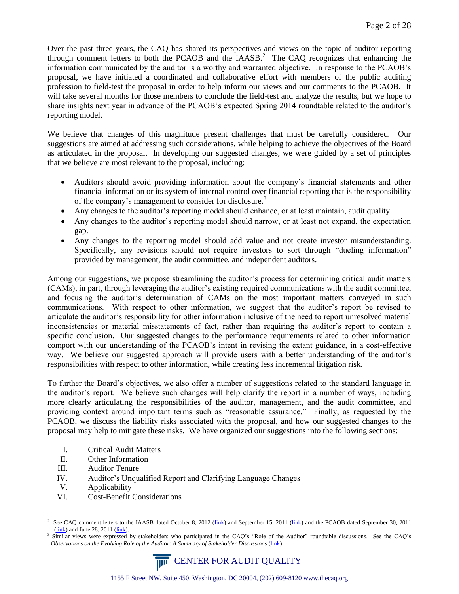Over the past three years, the CAQ has shared its perspectives and views on the topic of auditor reporting through comment letters to both the PCAOB and the IAASB.<sup>2</sup> The CAQ recognizes that enhancing the information communicated by the auditor is a worthy and warranted objective. In response to the PCAOB's proposal, we have initiated a coordinated and collaborative effort with members of the public auditing profession to field-test the proposal in order to help inform our views and our comments to the PCAOB. It will take several months for those members to conclude the field-test and analyze the results, but we hope to share insights next year in advance of the PCAOB's expected Spring 2014 roundtable related to the auditor's reporting model.

We believe that changes of this magnitude present challenges that must be carefully considered. Our suggestions are aimed at addressing such considerations, while helping to achieve the objectives of the Board as articulated in the proposal. In developing our suggested changes, we were guided by a set of principles that we believe are most relevant to the proposal, including:

- Auditors should avoid providing information about the company's financial statements and other financial information or its system of internal control over financial reporting that is the responsibility of the company's management to consider for disclosure.<sup>3</sup>
- Any changes to the auditor's reporting model should enhance, or at least maintain, audit quality.
- Any changes to the auditor's reporting model should narrow, or at least not expand, the expectation gap.
- Any changes to the reporting model should add value and not create investor misunderstanding. Specifically, any revisions should not require investors to sort through "dueling information" provided by management, the audit committee, and independent auditors.

Among our suggestions, we propose streamlining the auditor's process for determining critical audit matters (CAMs), in part, through leveraging the auditor's existing required communications with the audit committee, and focusing the auditor's determination of CAMs on the most important matters conveyed in such communications. With respect to other information, we suggest that the auditor's report be revised to articulate the auditor's responsibility for other information inclusive of the need to report unresolved material inconsistencies or material misstatements of fact, rather than requiring the auditor's report to contain a specific conclusion. Our suggested changes to the performance requirements related to other information comport with our understanding of the PCAOB's intent in revising the extant guidance, in a cost-effective way. We believe our suggested approach will provide users with a better understanding of the auditor's responsibilities with respect to other information, while creating less incremental litigation risk.

To further the Board's objectives, we also offer a number of suggestions related to the standard language in the auditor's report. We believe such changes will help clarify the report in a number of ways, including more clearly articulating the responsibilities of the auditor, management, and the audit committee, and providing context around important terms such as "reasonable assurance." Finally, as requested by the PCAOB, we discuss the liability risks associated with the proposal, and how our suggested changes to the proposal may help to mitigate these risks. We have organized our suggestions into the following sections:

- I. [Critical Audit Matters](#page-2-0)
- II. [Other Information](#page-5-0)
- III. [Auditor Tenure](#page-9-0)
- IV. [Auditor's Unqualified Report and Clarifying Language Changes](#page-10-0)
- V. [Applicability](#page-11-0)

 $\overline{a}$ 

VI. Cost-Benefit Considerations

<sup>3</sup> Similar views were expressed by stakeholders who participated in the CAQ's "Role of the Auditor" roundtable discussions. See the CAQ's *Observations on the Evolving Role of the Auditor: A Summary of Stakeholder Discussions* [\(link\)](http://www.thecaq.org/docs/default-document-library/evolvingroleoftheauditor.pdf?sfvrsn=2).



<sup>2</sup> See CAQ comment letters to the IAASB dated October 8, 2012 [\(link\)](http://www.thecaq.org/docs/resources/caqcommentletter-iaasbconsultationpaperonvalueofauditorreporting.pdf?sfvrsn=0) and September 15, 2011 (link) and the PCAOB dated September 30, 2011  $(link)$  and June 28, 2011  $(link)$ .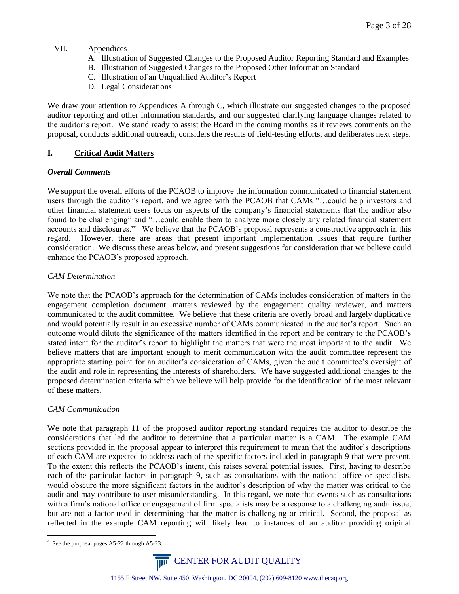# VII. Appendices

- A. Illustration of Suggested Changes to the Proposed Auditor Reporting Standard and Examples
- B. Illustration of Suggested Changes to the Proposed Other Information Standard
- C. Illustration of an Unqualified Auditor's Report
- <span id="page-2-0"></span>D. Legal Considerations

We draw your attention to Appendices A through C, which illustrate our suggested changes to the proposed auditor reporting and other information standards, and our suggested clarifying language changes related to the auditor's report. We stand ready to assist the Board in the coming months as it reviews comments on the proposal, conducts additional outreach, considers the results of field-testing efforts, and deliberates next steps.

# **I. Critical Audit Matters**

## *Overall Comments*

We support the overall efforts of the PCAOB to improve the information communicated to financial statement users through the auditor's report, and we agree with the PCAOB that CAMs "…could help investors and other financial statement users focus on aspects of the company's financial statements that the auditor also found to be challenging" and "...could enable them to analyze more closely any related financial statement accounts and disclosures."<sup>4</sup> We believe that the PCAOB's proposal represents a constructive approach in this regard. However, there are areas that present important implementation issues that require further consideration. We discuss these areas below, and present suggestions for consideration that we believe could enhance the PCAOB's proposed approach.

# *CAM Determination*

We note that the PCAOB's approach for the determination of CAMs includes consideration of matters in the engagement completion document, matters reviewed by the engagement quality reviewer, and matters communicated to the audit committee. We believe that these criteria are overly broad and largely duplicative and would potentially result in an excessive number of CAMs communicated in the auditor's report. Such an outcome would dilute the significance of the matters identified in the report and be contrary to the PCAOB's stated intent for the auditor's report to highlight the matters that were the most important to the audit. We believe matters that are important enough to merit communication with the audit committee represent the appropriate starting point for an auditor's consideration of CAMs, given the audit committee's oversight of the audit and role in representing the interests of shareholders. We have suggested additional changes to the proposed determination criteria which we believe will help provide for the identification of the most relevant of these matters.

## *CAM Communication*

We note that paragraph 11 of the proposed auditor reporting standard requires the auditor to describe the considerations that led the auditor to determine that a particular matter is a CAM. The example CAM sections provided in the proposal appear to interpret this requirement to mean that the auditor's descriptions of each CAM are expected to address each of the specific factors included in paragraph 9 that were present. To the extent this reflects the PCAOB's intent, this raises several potential issues. First, having to describe each of the particular factors in paragraph 9, such as consultations with the national office or specialists, would obscure the more significant factors in the auditor's description of why the matter was critical to the audit and may contribute to user misunderstanding. In this regard, we note that events such as consultations with a firm's national office or engagement of firm specialists may be a response to a challenging audit issue, but are not a factor used in determining that the matter is challenging or critical. Second, the proposal as reflected in the example CAM reporting will likely lead to instances of an auditor providing original

 $\overline{a}$ 4 See the proposal pages A5-22 through A5-23.

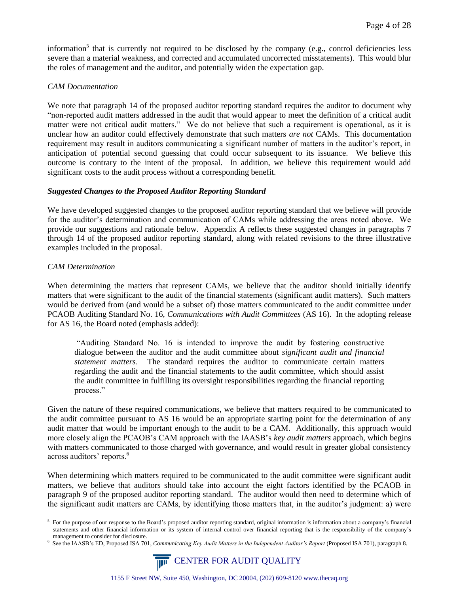information<sup>5</sup> that is currently not required to be disclosed by the company (e.g., control deficiencies less severe than a material weakness, and corrected and accumulated uncorrected misstatements). This would blur the roles of management and the auditor, and potentially widen the expectation gap.

### *CAM Documentation*

We note that paragraph 14 of the proposed auditor reporting standard requires the auditor to document why "non-reported audit matters addressed in the audit that would appear to meet the definition of a critical audit matter were not critical audit matters." We do not believe that such a requirement is operational, as it is unclear how an auditor could effectively demonstrate that such matters *are not* CAMs. This documentation requirement may result in auditors communicating a significant number of matters in the auditor's report, in anticipation of potential second guessing that could occur subsequent to its issuance. We believe this outcome is contrary to the intent of the proposal. In addition, we believe this requirement would add significant costs to the audit process without a corresponding benefit.

### *Suggested Changes to the Proposed Auditor Reporting Standard*

We have developed suggested changes to the proposed auditor reporting standard that we believe will provide for the auditor's determination and communication of CAMs while addressing the areas noted above. We provide our suggestions and rationale below. Appendix A reflects these suggested changes in paragraphs 7 through 14 of the proposed auditor reporting standard, along with related revisions to the three illustrative examples included in the proposal.

### *CAM Determination*

 $\overline{a}$ 

When determining the matters that represent CAMs, we believe that the auditor should initially identify matters that were significant to the audit of the financial statements (significant audit matters). Such matters would be derived from (and would be a subset of) those matters communicated to the audit committee under PCAOB Auditing Standard No. 16, *Communications with Audit Committees* (AS 16). In the adopting release for AS 16, the Board noted (emphasis added):

"Auditing Standard No. 16 is intended to improve the audit by fostering constructive dialogue between the auditor and the audit committee about *significant audit and financial statement matters*. The standard requires the auditor to communicate certain matters regarding the audit and the financial statements to the audit committee, which should assist the audit committee in fulfilling its oversight responsibilities regarding the financial reporting process."

Given the nature of these required communications, we believe that matters required to be communicated to the audit committee pursuant to AS 16 would be an appropriate starting point for the determination of any audit matter that would be important enough to the audit to be a CAM. Additionally, this approach would more closely align the PCAOB's CAM approach with the IAASB's *key audit matters* approach, which begins with matters communicated to those charged with governance, and would result in greater global consistency across auditors' reports.<sup>6</sup>

When determining which matters required to be communicated to the audit committee were significant audit matters, we believe that auditors should take into account the eight factors identified by the PCAOB in paragraph 9 of the proposed auditor reporting standard. The auditor would then need to determine which of the significant audit matters are CAMs, by identifying those matters that, in the auditor's judgment: a) were

<sup>6</sup> See the IAASB's ED, Proposed ISA 701, *Communicating Key Audit Matters in the Independent Auditor's Report* (Proposed ISA 701), paragraph 8.



<sup>5</sup> For the purpose of our response to the Board's proposed auditor reporting standard, original information is information about a company's financial statements and other financial information or its system of internal control over financial reporting that is the responsibility of the company's management to consider for disclosure.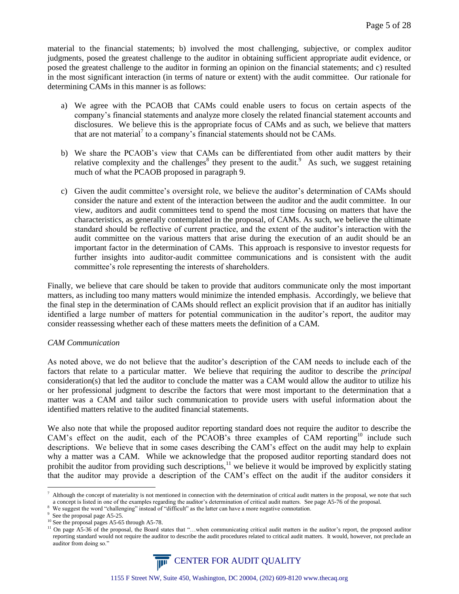material to the financial statements; b) involved the most challenging, subjective, or complex auditor judgments, posed the greatest challenge to the auditor in obtaining sufficient appropriate audit evidence, or posed the greatest challenge to the auditor in forming an opinion on the financial statements; and c) resulted in the most significant interaction (in terms of nature or extent) with the audit committee. Our rationale for determining CAMs in this manner is as follows:

- a) We agree with the PCAOB that CAMs could enable users to focus on certain aspects of the company's financial statements and analyze more closely the related financial statement accounts and disclosures. We believe this is the appropriate focus of CAMs and as such, we believe that matters that are not material<sup>7</sup> to a company's financial statements should not be CAMs.
- b) We share the PCAOB's view that CAMs can be differentiated from other audit matters by their relative complexity and the challenges<sup>8</sup> they present to the audit.<sup>9</sup> As such, we suggest retaining much of what the PCAOB proposed in paragraph 9.
- c) Given the audit committee's oversight role, we believe the auditor's determination of CAMs should consider the nature and extent of the interaction between the auditor and the audit committee. In our view, auditors and audit committees tend to spend the most time focusing on matters that have the characteristics, as generally contemplated in the proposal, of CAMs. As such, we believe the ultimate standard should be reflective of current practice, and the extent of the auditor's interaction with the audit committee on the various matters that arise during the execution of an audit should be an important factor in the determination of CAMs. This approach is responsive to investor requests for further insights into auditor-audit committee communications and is consistent with the audit committee's role representing the interests of shareholders.

Finally, we believe that care should be taken to provide that auditors communicate only the most important matters, as including too many matters would minimize the intended emphasis. Accordingly, we believe that the final step in the determination of CAMs should reflect an explicit provision that if an auditor has initially identified a large number of matters for potential communication in the auditor's report, the auditor may consider reassessing whether each of these matters meets the definition of a CAM.

## *CAM Communication*

As noted above, we do not believe that the auditor's description of the CAM needs to include each of the factors that relate to a particular matter. We believe that requiring the auditor to describe the *principal* consideration(s) that led the auditor to conclude the matter was a CAM would allow the auditor to utilize his or her professional judgment to describe the factors that were most important to the determination that a matter was a CAM and tailor such communication to provide users with useful information about the identified matters relative to the audited financial statements.

We also note that while the proposed auditor reporting standard does not require the auditor to describe the CAM's effect on the audit, each of the PCAOB's three examples of CAM reporting<sup>10</sup> include such descriptions. We believe that in some cases describing the CAM's effect on the audit may help to explain why a matter was a CAM. While we acknowledge that the proposed auditor reporting standard does not prohibit the auditor from providing such descriptions,<sup>11</sup> we believe it would be improved by explicitly stating that the auditor may provide a description of the CAM's effect on the audit if the auditor considers it

<sup>&</sup>lt;sup>11</sup> On page A5-36 of the proposal, the Board states that "...when communicating critical audit matters in the auditor's report, the proposed auditor reporting standard would not require the auditor to describe the audit procedures related to critical audit matters. It would, however, not preclude an auditor from doing so."



<sup>7</sup> Although the concept of materiality is not mentioned in connection with the determination of critical audit matters in the proposal, we note that such a concept is listed in one of the examples regarding the auditor's determination of critical audit matters. See page A5-76 of the proposal.

<sup>8</sup> We suggest the word "challenging" instead of "difficult" as the latter can have a more negative connotation.

<sup>&</sup>lt;sup>9</sup> See the proposal page A5-25.

<sup>&</sup>lt;sup>10</sup> See the proposal pages A5-65 through A5-78.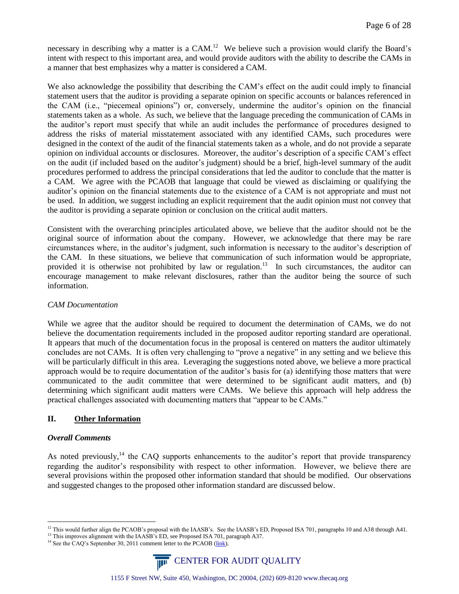necessary in describing why a matter is a CAM.<sup>12</sup> We believe such a provision would clarify the Board's intent with respect to this important area, and would provide auditors with the ability to describe the CAMs in a manner that best emphasizes why a matter is considered a CAM.

We also acknowledge the possibility that describing the CAM's effect on the audit could imply to financial statement users that the auditor is providing a separate opinion on specific accounts or balances referenced in the CAM (i.e., "piecemeal opinions") or, conversely, undermine the auditor's opinion on the financial statements taken as a whole. As such, we believe that the language preceding the communication of CAMs in the auditor's report must specify that while an audit includes the performance of procedures designed to address the risks of material misstatement associated with any identified CAMs, such procedures were designed in the context of the audit of the financial statements taken as a whole, and do not provide a separate opinion on individual accounts or disclosures. Moreover, the auditor's description of a specific CAM's effect on the audit (if included based on the auditor's judgment) should be a brief, high-level summary of the audit procedures performed to address the principal considerations that led the auditor to conclude that the matter is a CAM. We agree with the PCAOB that language that could be viewed as disclaiming or qualifying the auditor's opinion on the financial statements due to the existence of a CAM is not appropriate and must not be used. In addition, we suggest including an explicit requirement that the audit opinion must not convey that the auditor is providing a separate opinion or conclusion on the critical audit matters.

Consistent with the overarching principles articulated above, we believe that the auditor should not be the original source of information about the company. However, we acknowledge that there may be rare circumstances where, in the auditor's judgment, such information is necessary to the auditor's description of the CAM. In these situations, we believe that communication of such information would be appropriate, provided it is otherwise not prohibited by law or regulation.<sup>13</sup> In such circumstances, the auditor can encourage management to make relevant disclosures, rather than the auditor being the source of such information.

## *CAM Documentation*

While we agree that the auditor should be required to document the determination of CAMs, we do not believe the documentation requirements included in the proposed auditor reporting standard are operational. It appears that much of the documentation focus in the proposal is centered on matters the auditor ultimately concludes are not CAMs. It is often very challenging to "prove a negative" in any setting and we believe this will be particularly difficult in this area. Leveraging the suggestions noted above, we believe a more practical approach would be to require documentation of the auditor's basis for (a) identifying those matters that were communicated to the audit committee that were determined to be significant audit matters, and (b) determining which significant audit matters were CAMs. We believe this approach will help address the practical challenges associated with documenting matters that "appear to be CAMs."

## <span id="page-5-0"></span>**II. Other Information**

## *Overall Comments*

As noted previously,<sup>14</sup> the CAQ supports enhancements to the auditor's report that provide transparency regarding the auditor's responsibility with respect to other information. However, we believe there are several provisions within the proposed other information standard that should be modified. Our observations and suggested changes to the proposed other information standard are discussed below.

<sup>&</sup>lt;sup>14</sup> See the CAQ's September 30, 2011 comment letter to the PCAOB [\(link\)](http://www.thecaq.org/docs/resources/caqcommentletter-auditorsreportingmodel.pdf?sfvrsn=0).



 $\overline{a}$ <sup>12</sup> This would further align the PCAOB's proposal with the IAASB's. See the IAASB's ED, Proposed ISA 701, paragraphs 10 and A38 through A41.

<sup>&</sup>lt;sup>13</sup> This improves alignment with the IAASB's ED, see Proposed ISA 701, paragraph A37.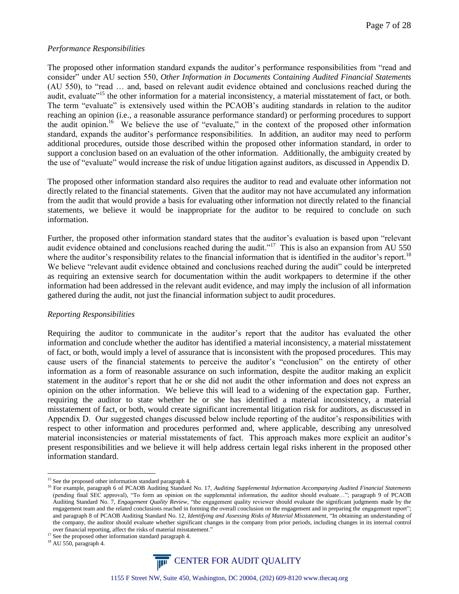### *Performance Responsibilities*

The proposed other information standard expands the auditor's performance responsibilities from "read and consider" under AU section 550, *Other Information in Documents Containing Audited Financial Statements*  (AU 550), to "read … and, based on relevant audit evidence obtained and conclusions reached during the audit, evaluate<sup>"15</sup> the other information for a material inconsistency, a material misstatement of fact, or both. The term "evaluate" is extensively used within the PCAOB's auditing standards in relation to the auditor reaching an opinion (i.e., a reasonable assurance performance standard) or performing procedures to support the audit opinion.<sup>16</sup> We believe the use of "evaluate," in the context of the proposed other information standard, expands the auditor's performance responsibilities. In addition, an auditor may need to perform additional procedures, outside those described within the proposed other information standard, in order to support a conclusion based on an evaluation of the other information. Additionally, the ambiguity created by the use of "evaluate" would increase the risk of undue litigation against auditors, as discussed in Appendix D.

The proposed other information standard also requires the auditor to read and evaluate other information not directly related to the financial statements. Given that the auditor may not have accumulated any information from the audit that would provide a basis for evaluating other information not directly related to the financial statements, we believe it would be inappropriate for the auditor to be required to conclude on such information.

Further, the proposed other information standard states that the auditor's evaluation is based upon "relevant audit evidence obtained and conclusions reached during the audit."<sup>17</sup> This is also an expansion from AU 550 where the auditor's responsibility relates to the financial information that is identified in the auditor's report.<sup>18</sup> We believe "relevant audit evidence obtained and conclusions reached during the audit" could be interpreted as requiring an extensive search for documentation within the audit workpapers to determine if the other information had been addressed in the relevant audit evidence, and may imply the inclusion of all information gathered during the audit, not just the financial information subject to audit procedures.

### *Reporting Responsibilities*

Requiring the auditor to communicate in the auditor's report that the auditor has evaluated the other information and conclude whether the auditor has identified a material inconsistency, a material misstatement of fact, or both, would imply a level of assurance that is inconsistent with the proposed procedures. This may cause users of the financial statements to perceive the auditor's "conclusion" on the entirety of other information as a form of reasonable assurance on such information, despite the auditor making an explicit statement in the auditor's report that he or she did not audit the other information and does not express an opinion on the other information. We believe this will lead to a widening of the expectation gap. Further, requiring the auditor to state whether he or she has identified a material inconsistency, a material misstatement of fact, or both, would create significant incremental litigation risk for auditors, as discussed in Appendix D. Our suggested changes discussed below include reporting of the auditor's responsibilities with respect to other information and procedures performed and, where applicable, describing any unresolved material inconsistencies or material misstatements of fact. This approach makes more explicit an auditor's present responsibilities and we believe it will help address certain legal risks inherent in the proposed other information standard.



<sup>&</sup>lt;sup>15</sup> See the proposed other information standard paragraph 4.

<sup>&</sup>lt;sup>16</sup> For example, paragraph 6 of PCAOB Auditing Standard No. 17, *Auditing Supplemental Information Accompanying Audited Financial Statements* (pending final SEC approval), "To form an opinion on the supplemental information, the auditor should evaluate…"; paragraph 9 of PCAOB Auditing Standard No. 7, *Engagement Quality Review*, "the engagement quality reviewer should evaluate the significant judgments made by the engagement team and the related conclusions reached in forming the overall conclusion on the engagement and in preparing the engagement report"; and paragraph 8 of PCAOB Auditing Standard No. 12, *Identifying and Assessing Risks of Material Misstatement*, "In obtaining an understanding of the company, the auditor should evaluate whether significant changes in the company from prior periods, including changes in its internal control over financial reporting, affect the risks of material misstatement."

<sup>&</sup>lt;sup>17</sup> See the proposed other information standard paragraph 4.

 $18$  AU 550, paragraph 4.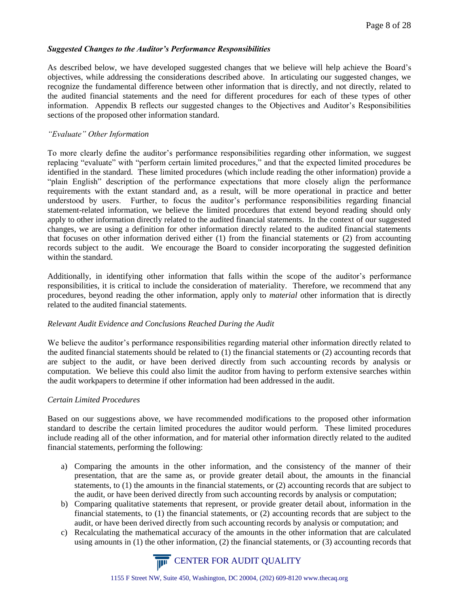## *Suggested Changes to the Auditor's Performance Responsibilities*

As described below, we have developed suggested changes that we believe will help achieve the Board's objectives, while addressing the considerations described above. In articulating our suggested changes, we recognize the fundamental difference between other information that is directly, and not directly, related to the audited financial statements and the need for different procedures for each of these types of other information. Appendix B reflects our suggested changes to the Objectives and Auditor's Responsibilities sections of the proposed other information standard.

# *"Evaluate" Other Information*

To more clearly define the auditor's performance responsibilities regarding other information, we suggest replacing "evaluate" with "perform certain limited procedures," and that the expected limited procedures be identified in the standard. These limited procedures (which include reading the other information) provide a "plain English" description of the performance expectations that more closely align the performance requirements with the extant standard and, as a result, will be more operational in practice and better understood by users. Further, to focus the auditor's performance responsibilities regarding financial statement-related information, we believe the limited procedures that extend beyond reading should only apply to other information directly related to the audited financial statements. In the context of our suggested changes, we are using a definition for other information directly related to the audited financial statements that focuses on other information derived either (1) from the financial statements or (2) from accounting records subject to the audit. We encourage the Board to consider incorporating the suggested definition within the standard.

Additionally, in identifying other information that falls within the scope of the auditor's performance responsibilities, it is critical to include the consideration of materiality. Therefore, we recommend that any procedures, beyond reading the other information, apply only to *material* other information that is directly related to the audited financial statements.

## *Relevant Audit Evidence and Conclusions Reached During the Audit*

We believe the auditor's performance responsibilities regarding material other information directly related to the audited financial statements should be related to (1) the financial statements or (2) accounting records that are subject to the audit, or have been derived directly from such accounting records by analysis or computation. We believe this could also limit the auditor from having to perform extensive searches within the audit workpapers to determine if other information had been addressed in the audit.

## *Certain Limited Procedures*

Based on our suggestions above, we have recommended modifications to the proposed other information standard to describe the certain limited procedures the auditor would perform. These limited procedures include reading all of the other information, and for material other information directly related to the audited financial statements, performing the following:

- a) Comparing the amounts in the other information, and the consistency of the manner of their presentation, that are the same as, or provide greater detail about, the amounts in the financial statements, to (1) the amounts in the financial statements, or (2) accounting records that are subject to the audit, or have been derived directly from such accounting records by analysis or computation;
- b) Comparing qualitative statements that represent, or provide greater detail about, information in the financial statements, to (1) the financial statements, or (2) accounting records that are subject to the audit, or have been derived directly from such accounting records by analysis or computation; and
- c) Recalculating the mathematical accuracy of the amounts in the other information that are calculated using amounts in (1) the other information, (2) the financial statements, or (3) accounting records that

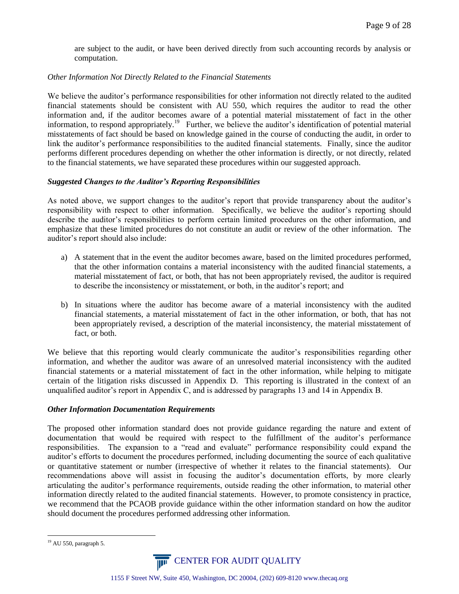are subject to the audit, or have been derived directly from such accounting records by analysis or computation.

### *Other Information Not Directly Related to the Financial Statements*

We believe the auditor's performance responsibilities for other information not directly related to the audited financial statements should be consistent with AU 550, which requires the auditor to read the other information and, if the auditor becomes aware of a potential material misstatement of fact in the other information, to respond appropriately.<sup>19</sup> Further, we believe the auditor's identification of potential material misstatements of fact should be based on knowledge gained in the course of conducting the audit, in order to link the auditor's performance responsibilities to the audited financial statements. Finally, since the auditor performs different procedures depending on whether the other information is directly, or not directly, related to the financial statements, we have separated these procedures within our suggested approach.

## *Suggested Changes to the Auditor's Reporting Responsibilities*

As noted above, we support changes to the auditor's report that provide transparency about the auditor's responsibility with respect to other information. Specifically, we believe the auditor's reporting should describe the auditor's responsibilities to perform certain limited procedures on the other information, and emphasize that these limited procedures do not constitute an audit or review of the other information. The auditor's report should also include:

- a) A statement that in the event the auditor becomes aware, based on the limited procedures performed, that the other information contains a material inconsistency with the audited financial statements, a material misstatement of fact, or both, that has not been appropriately revised, the auditor is required to describe the inconsistency or misstatement, or both, in the auditor's report; and
- b) In situations where the auditor has become aware of a material inconsistency with the audited financial statements, a material misstatement of fact in the other information, or both, that has not been appropriately revised, a description of the material inconsistency, the material misstatement of fact, or both.

We believe that this reporting would clearly communicate the auditor's responsibilities regarding other information, and whether the auditor was aware of an unresolved material inconsistency with the audited financial statements or a material misstatement of fact in the other information, while helping to mitigate certain of the litigation risks discussed in Appendix D. This reporting is illustrated in the context of an unqualified auditor's report in Appendix C, and is addressed by paragraphs 13 and 14 in Appendix B.

## *Other Information Documentation Requirements*

The proposed other information standard does not provide guidance regarding the nature and extent of documentation that would be required with respect to the fulfillment of the auditor's performance responsibilities. The expansion to a "read and evaluate" performance responsibility could expand the auditor's efforts to document the procedures performed, including documenting the source of each qualitative or quantitative statement or number (irrespective of whether it relates to the financial statements). Our recommendations above will assist in focusing the auditor's documentation efforts, by more clearly articulating the auditor's performance requirements, outside reading the other information, to material other information directly related to the audited financial statements. However, to promote consistency in practice, we recommend that the PCAOB provide guidance within the other information standard on how the auditor should document the procedures performed addressing other information.

 $\overline{a}$  $19$  AU 550, paragraph 5.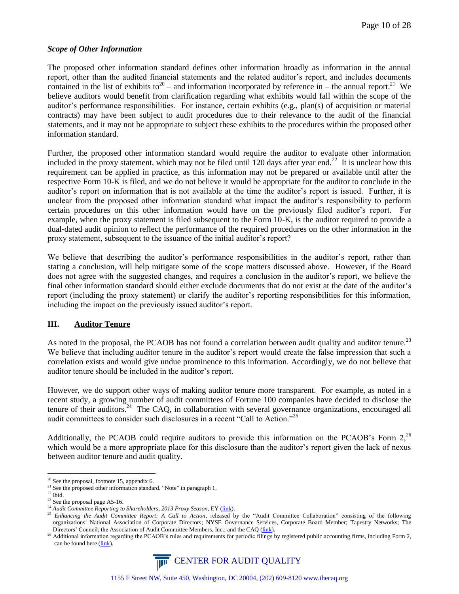### *Scope of Other Information*

The proposed other information standard defines other information broadly as information in the annual report, other than the audited financial statements and the related auditor's report, and includes documents contained in the list of exhibits to<sup>20</sup> – and information incorporated by reference in – the annual report.<sup>21</sup> We believe auditors would benefit from clarification regarding what exhibits would fall within the scope of the auditor's performance responsibilities. For instance, certain exhibits (e.g., plan(s) of acquisition or material contracts) may have been subject to audit procedures due to their relevance to the audit of the financial statements, and it may not be appropriate to subject these exhibits to the procedures within the proposed other information standard.

Further, the proposed other information standard would require the auditor to evaluate other information included in the proxy statement, which may not be filed until 120 days after year end.<sup>22</sup> It is unclear how this requirement can be applied in practice, as this information may not be prepared or available until after the respective Form 10-K is filed, and we do not believe it would be appropriate for the auditor to conclude in the auditor's report on information that is not available at the time the auditor's report is issued. Further, it is unclear from the proposed other information standard what impact the auditor's responsibility to perform certain procedures on this other information would have on the previously filed auditor's report. For example, when the proxy statement is filed subsequent to the Form 10-K, is the auditor required to provide a dual-dated audit opinion to reflect the performance of the required procedures on the other information in the proxy statement, subsequent to the issuance of the initial auditor's report?

We believe that describing the auditor's performance responsibilities in the auditor's report, rather than stating a conclusion, will help mitigate some of the scope matters discussed above. However, if the Board does not agree with the suggested changes, and requires a conclusion in the auditor's report, we believe the final other information standard should either exclude documents that do not exist at the date of the auditor's report (including the proxy statement) or clarify the auditor's reporting responsibilities for this information, including the impact on the previously issued auditor's report.

# <span id="page-9-0"></span>**III. Auditor Tenure**

As noted in the proposal, the PCAOB has not found a correlation between audit quality and auditor tenure.<sup>23</sup> We believe that including auditor tenure in the auditor's report would create the false impression that such a correlation exists and would give undue prominence to this information. Accordingly, we do not believe that auditor tenure should be included in the auditor's report.

However, we do support other ways of making auditor tenure more transparent. For example, as noted in a recent study, a growing number of audit committees of Fortune 100 companies have decided to disclose the tenure of their auditors.<sup>24</sup> The CAQ, in collaboration with several governance organizations, encouraged all audit committees to consider such disclosures in a recent "Call to Action."<sup>25</sup>

Additionally, the PCAOB could require auditors to provide this information on the PCAOB's Form  $2$ ,<sup>26</sup> which would be a more appropriate place for this disclosure than the auditor's report given the lack of nexus between auditor tenure and audit quality.

<sup>&</sup>lt;sup>26</sup> Additional information regarding the PCAOB's rules and requirements for periodic filings by registered public accounting firms, including Form 2, can be found here [\(link\)](http://pcaobus.org/Registration/rasr/Pages/AnnualSpecialReporting.aspx).



<sup>&</sup>lt;sup>20</sup> See the proposal, footnote 15, appendix 6.

<sup>&</sup>lt;sup>21</sup> See the proposed other information standard, "Note" in paragraph 1.

 $^{\rm 22}$  Ibid.

 $23$  See the proposal page A5-16.

<sup>&</sup>lt;sup>24</sup> Audit Committee Reporting to Shareholders, 2013 Proxy Season, EY [\(link\)](http://www.ey.com/Publication/vwLUAssets/Audit_committee_reporting_2013_proxy_season_update/$FILE/Audit_committee_reporting_shareholder_2013_proxy_season_update.pdf).

<sup>&</sup>lt;sup>25</sup> Enhancing the Audit Committee Report: A Call to Action, released by the "Audit Committee Collaboration" consisting of the following organizations: National Association of Corporate Directors; NYSE Governance Services, Corporate Board Member; Tapestry Networks; The Directors' Council; the Association of Audit Committee Members, Inc.; and the CAQ [\(link\)](http://www.auditcommitteecollaboration.org/EnhancingtheAuditCommitteeReport-ACalltoAction.pdf).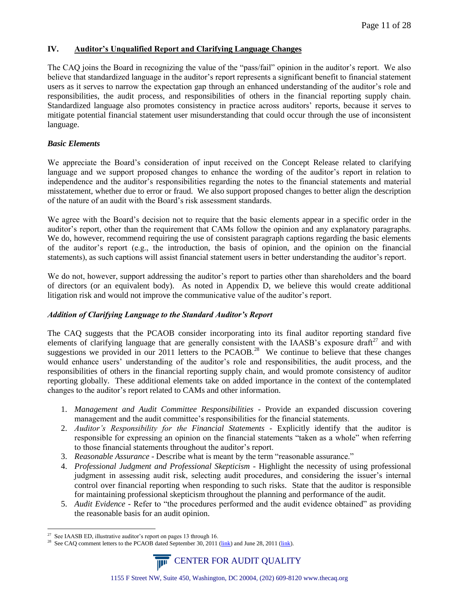# <span id="page-10-0"></span>**IV. Auditor's Unqualified Report and Clarifying Language Changes**

The CAQ joins the Board in recognizing the value of the "pass/fail" opinion in the auditor's report. We also believe that standardized language in the auditor's report represents a significant benefit to financial statement users as it serves to narrow the expectation gap through an enhanced understanding of the auditor's role and responsibilities, the audit process, and responsibilities of others in the financial reporting supply chain. Standardized language also promotes consistency in practice across auditors' reports, because it serves to mitigate potential financial statement user misunderstanding that could occur through the use of inconsistent language.

## *Basic Elements*

We appreciate the Board's consideration of input received on the Concept Release related to clarifying language and we support proposed changes to enhance the wording of the auditor's report in relation to independence and the auditor's responsibilities regarding the notes to the financial statements and material misstatement, whether due to error or fraud. We also support proposed changes to better align the description of the nature of an audit with the Board's risk assessment standards.

We agree with the Board's decision not to require that the basic elements appear in a specific order in the auditor's report, other than the requirement that CAMs follow the opinion and any explanatory paragraphs. We do, however, recommend requiring the use of consistent paragraph captions regarding the basic elements of the auditor's report (e.g., the introduction, the basis of opinion, and the opinion on the financial statements), as such captions will assist financial statement users in better understanding the auditor's report.

We do not, however, support addressing the auditor's report to parties other than shareholders and the board of directors (or an equivalent body). As noted in Appendix D, we believe this would create additional litigation risk and would not improve the communicative value of the auditor's report.

## *Addition of Clarifying Language to the Standard Auditor's Report*

The CAQ suggests that the PCAOB consider incorporating into its final auditor reporting standard five elements of clarifying language that are generally consistent with the IAASB's exposure draft $27$  and with suggestions we provided in our 2011 letters to the PCAOB.<sup>28</sup> We continue to believe that these changes would enhance users' understanding of the auditor's role and responsibilities, the audit process, and the responsibilities of others in the financial reporting supply chain, and would promote consistency of auditor reporting globally. These additional elements take on added importance in the context of the contemplated changes to the auditor's report related to CAMs and other information.

- 1. *Management and Audit Committee Responsibilities -* Provide an expanded discussion covering management and the audit committee's responsibilities for the financial statements.
- 2. *Auditor's Responsibility for the Financial Statements -* Explicitly identify that the auditor is responsible for expressing an opinion on the financial statements "taken as a whole" when referring to those financial statements throughout the auditor's report.
- 3. *Reasonable Assurance* Describe what is meant by the term "reasonable assurance."
- 4. *Professional Judgment and Professional Skepticism -* Highlight the necessity of using professional judgment in assessing audit risk, selecting audit procedures, and considering the issuer's internal control over financial reporting when responding to such risks. State that the auditor is responsible for maintaining professional skepticism throughout the planning and performance of the audit.
- 5. *Audit Evidence -* Refer to "the procedures performed and the audit evidence obtained" as providing the reasonable basis for an audit opinion.

<sup>&</sup>lt;sup>28</sup> See CAQ comment letters to the PCAOB dated September 30, 2011 [\(link\)](http://www.thecaq.org/docs/resources/caq_june28letter_pcaobrulemakingdocketmatterno.pdf?sfvrsn=0) and June 28, 2011 (link).



 $\overline{a}$  $27$  See IAASB ED, illustrative auditor's report on pages 13 through 16.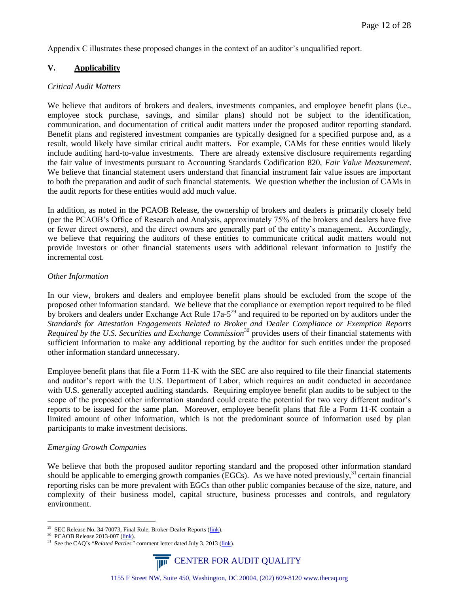Appendix C illustrates these proposed changes in the context of an auditor's unqualified report.

# <span id="page-11-0"></span>**V. Applicability**

### *Critical Audit Matters*

We believe that auditors of brokers and dealers, investments companies, and employee benefit plans (i.e., employee stock purchase, savings, and similar plans) should not be subject to the identification, communication, and documentation of critical audit matters under the proposed auditor reporting standard. Benefit plans and registered investment companies are typically designed for a specified purpose and, as a result, would likely have similar critical audit matters. For example, CAMs for these entities would likely include auditing hard-to-value investments. There are already extensive disclosure requirements regarding the fair value of investments pursuant to Accounting Standards Codification 820, *Fair Value Measurement*. We believe that financial statement users understand that financial instrument fair value issues are important to both the preparation and audit of such financial statements. We question whether the inclusion of CAMs in the audit reports for these entities would add much value.

In addition, as noted in the PCAOB Release, the ownership of brokers and dealers is primarily closely held (per the PCAOB's Office of Research and Analysis, approximately 75% of the brokers and dealers have five or fewer direct owners), and the direct owners are generally part of the entity's management. Accordingly, we believe that requiring the auditors of these entities to communicate critical audit matters would not provide investors or other financial statements users with additional relevant information to justify the incremental cost.

## *Other Information*

In our view, brokers and dealers and employee benefit plans should be excluded from the scope of the proposed other information standard. We believe that the compliance or exemption report required to be filed by brokers and dealers under Exchange Act Rule  $17a-5<sup>29</sup>$  and required to be reported on by auditors under the *Standards for Attestation Engagements Related to Broker and Dealer Compliance or Exemption Reports Required by the U.S. Securities and Exchange Commission*<sup>30</sup> provides users of their financial statements with sufficient information to make any additional reporting by the auditor for such entities under the proposed other information standard unnecessary.

Employee benefit plans that file a Form 11-K with the SEC are also required to file their financial statements and auditor's report with the U.S. Department of Labor, which requires an audit conducted in accordance with U.S. generally accepted auditing standards. Requiring employee benefit plan audits to be subject to the scope of the proposed other information standard could create the potential for two very different auditor's reports to be issued for the same plan. Moreover, employee benefit plans that file a Form 11-K contain a limited amount of other information, which is not the predominant source of information used by plan participants to make investment decisions.

## *Emerging Growth Companies*

We believe that both the proposed auditor reporting standard and the proposed other information standard should be applicable to emerging growth companies (EGCs). As we have noted previously, $31$  certain financial reporting risks can be more prevalent with EGCs than other public companies because of the size, nature, and complexity of their business model, capital structure, business processes and controls, and regulatory environment.

<sup>&</sup>lt;sup>31</sup> See the CAQ's "*Related Parties*" comment letter dated July 3, 2013 [\(link\)](http://www.thecaq.org/docs/comment-letters/caqcommentletter-relatedpartiesandsignificantunusualtransactions.pdf?sfvrsn=0).



<sup>&</sup>lt;sup>29</sup> SEC Release No. 34-70073, Final Rule, Broker-Dealer Reports ( $\frac{link}{lnk}$ ).

<sup>&</sup>lt;sup>30</sup> PCAOB Release 2013-007 [\(link\)](http://pcaobus.org/Rules/Rulemaking/Docket035/PCAOB_Release_2013_007.pdf).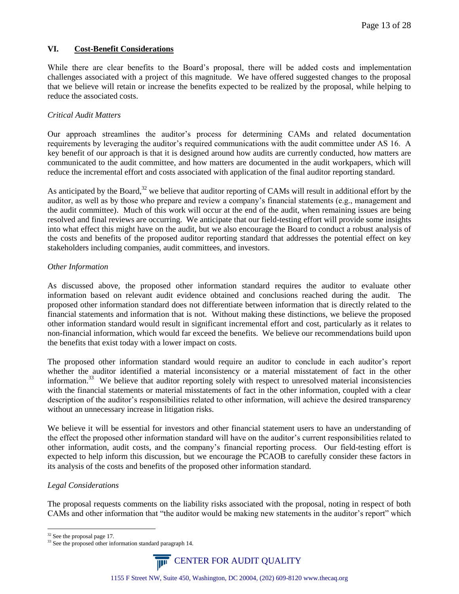# **VI. Cost-Benefit Considerations**

While there are clear benefits to the Board's proposal, there will be added costs and implementation challenges associated with a project of this magnitude. We have offered suggested changes to the proposal that we believe will retain or increase the benefits expected to be realized by the proposal, while helping to reduce the associated costs.

# *Critical Audit Matters*

Our approach streamlines the auditor's process for determining CAMs and related documentation requirements by leveraging the auditor's required communications with the audit committee under AS 16. A key benefit of our approach is that it is designed around how audits are currently conducted, how matters are communicated to the audit committee, and how matters are documented in the audit workpapers, which will reduce the incremental effort and costs associated with application of the final auditor reporting standard.

As anticipated by the Board, $3^2$  we believe that auditor reporting of CAMs will result in additional effort by the auditor, as well as by those who prepare and review a company's financial statements (e.g., management and the audit committee). Much of this work will occur at the end of the audit, when remaining issues are being resolved and final reviews are occurring. We anticipate that our field-testing effort will provide some insights into what effect this might have on the audit, but we also encourage the Board to conduct a robust analysis of the costs and benefits of the proposed auditor reporting standard that addresses the potential effect on key stakeholders including companies, audit committees, and investors.

# *Other Information*

As discussed above, the proposed other information standard requires the auditor to evaluate other information based on relevant audit evidence obtained and conclusions reached during the audit. The proposed other information standard does not differentiate between information that is directly related to the financial statements and information that is not. Without making these distinctions, we believe the proposed other information standard would result in significant incremental effort and cost, particularly as it relates to non-financial information, which would far exceed the benefits. We believe our recommendations build upon the benefits that exist today with a lower impact on costs.

The proposed other information standard would require an auditor to conclude in each auditor's report whether the auditor identified a material inconsistency or a material misstatement of fact in the other information.<sup>33</sup> We believe that auditor reporting solely with respect to unresolved material inconsistencies with the financial statements or material misstatements of fact in the other information, coupled with a clear description of the auditor's responsibilities related to other information, will achieve the desired transparency without an unnecessary increase in litigation risks.

We believe it will be essential for investors and other financial statement users to have an understanding of the effect the proposed other information standard will have on the auditor's current responsibilities related to other information, audit costs, and the company's financial reporting process. Our field-testing effort is expected to help inform this discussion, but we encourage the PCAOB to carefully consider these factors in its analysis of the costs and benefits of the proposed other information standard.

# *Legal Considerations*

The proposal requests comments on the liability risks associated with the proposal, noting in respect of both CAMs and other information that "the auditor would be making new statements in the auditor's report" which

<sup>&</sup>lt;sup>33</sup> See the proposed other information standard paragraph 14.



<sup>&</sup>lt;sup>32</sup> See the proposal page 17.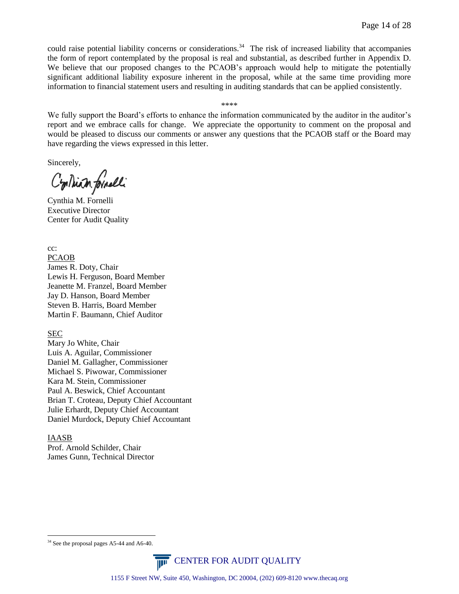could raise potential liability concerns or considerations.<sup>34</sup> The risk of increased liability that accompanies the form of report contemplated by the proposal is real and substantial, as described further in Appendix D. We believe that our proposed changes to the PCAOB's approach would help to mitigate the potentially significant additional liability exposure inherent in the proposal, while at the same time providing more information to financial statement users and resulting in auditing standards that can be applied consistently.

#### \*\*\*\*

We fully support the Board's efforts to enhance the information communicated by the auditor in the auditor's report and we embrace calls for change. We appreciate the opportunity to comment on the proposal and would be pleased to discuss our comments or answer any questions that the PCAOB staff or the Board may have regarding the views expressed in this letter.

Sincerely,

Cyrlliam formelli

Cynthia M. Fornelli Executive Director Center for Audit Quality

cc: PCAOB James R. Doty, Chair Lewis H. Ferguson, Board Member Jeanette M. Franzel, Board Member Jay D. Hanson, Board Member Steven B. Harris, Board Member Martin F. Baumann, Chief Auditor

SEC

Mary Jo White, Chair Luis A. Aguilar, Commissioner Daniel M. Gallagher, Commissioner Michael S. Piwowar, Commissioner Kara M. Stein, Commissioner Paul A. Beswick, Chief Accountant Brian T. Croteau, Deputy Chief Accountant Julie Erhardt, Deputy Chief Accountant Daniel Murdock, Deputy Chief Accountant

#### IAASB

 $\overline{a}$ 

Prof. Arnold Schilder, Chair James Gunn, Technical Director

<sup>&</sup>lt;sup>34</sup> See the proposal pages A5-44 and A6-40.

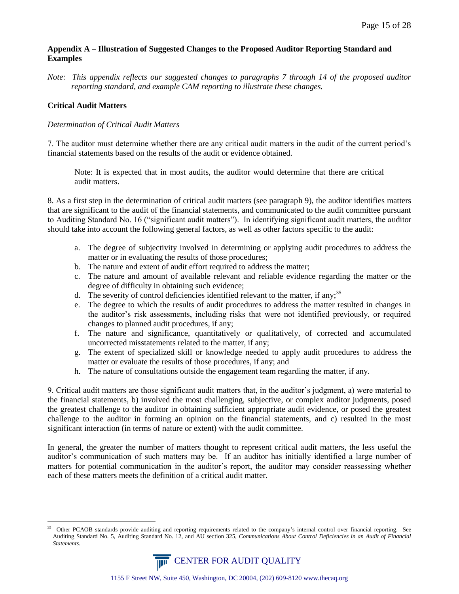# **Appendix A – Illustration of Suggested Changes to the Proposed Auditor Reporting Standard and Examples**

*Note: This appendix reflects our suggested changes to paragraphs 7 through 14 of the proposed auditor reporting standard, and example CAM reporting to illustrate these changes.*

# **Critical Audit Matters**

## *Determination of Critical Audit Matters*

7. The auditor must determine whether there are any critical audit matters in the audit of the current period's financial statements based on the results of the audit or evidence obtained.

Note: It is expected that in most audits, the auditor would determine that there are critical audit matters.

8. As a first step in the determination of critical audit matters (see paragraph 9), the auditor identifies matters that are significant to the audit of the financial statements, and communicated to the audit committee pursuant to Auditing Standard No. 16 ("significant audit matters"). In identifying significant audit matters, the auditor should take into account the following general factors, as well as other factors specific to the audit:

- a. The degree of subjectivity involved in determining or applying audit procedures to address the matter or in evaluating the results of those procedures;
- b. The nature and extent of audit effort required to address the matter;
- c. The nature and amount of available relevant and reliable evidence regarding the matter or the degree of difficulty in obtaining such evidence;
- d. The severity of control deficiencies identified relevant to the matter, if any;<sup>35</sup>
- e. The degree to which the results of audit procedures to address the matter resulted in changes in the auditor's risk assessments, including risks that were not identified previously, or required changes to planned audit procedures, if any;
- f. The nature and significance, quantitatively or qualitatively, of corrected and accumulated uncorrected misstatements related to the matter, if any;
- g. The extent of specialized skill or knowledge needed to apply audit procedures to address the matter or evaluate the results of those procedures, if any; and
- h. The nature of consultations outside the engagement team regarding the matter, if any.

9. Critical audit matters are those significant audit matters that, in the auditor's judgment, a) were material to the financial statements, b) involved the most challenging, subjective, or complex auditor judgments, posed the greatest challenge to the auditor in obtaining sufficient appropriate audit evidence, or posed the greatest challenge to the auditor in forming an opinion on the financial statements, and c) resulted in the most significant interaction (in terms of nature or extent) with the audit committee.

In general, the greater the number of matters thought to represent critical audit matters, the less useful the auditor's communication of such matters may be. If an auditor has initially identified a large number of matters for potential communication in the auditor's report, the auditor may consider reassessing whether each of these matters meets the definition of a critical audit matter.

 $\overline{a}$ <sup>35</sup> Other PCAOB standards provide auditing and reporting requirements related to the company's internal control over financial reporting. See Auditing Standard No. 5, Auditing Standard No. 12, and AU section 325, *Communications About Control Deficiencies in an Audit of Financial Statements.*

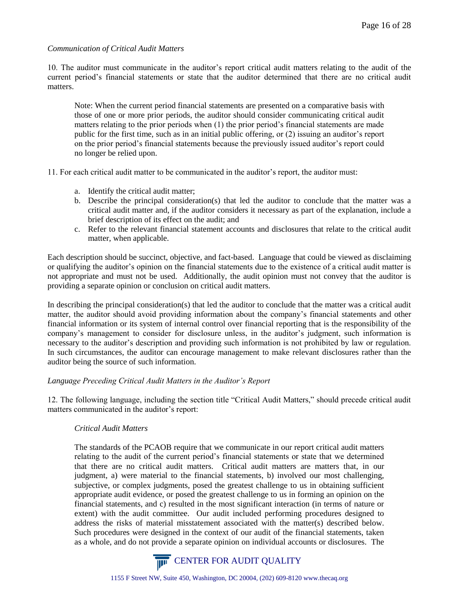### *Communication of Critical Audit Matters*

10. The auditor must communicate in the auditor's report critical audit matters relating to the audit of the current period's financial statements or state that the auditor determined that there are no critical audit matters.

Note: When the current period financial statements are presented on a comparative basis with those of one or more prior periods, the auditor should consider communicating critical audit matters relating to the prior periods when (1) the prior period's financial statements are made public for the first time, such as in an initial public offering, or (2) issuing an auditor's report on the prior period's financial statements because the previously issued auditor's report could no longer be relied upon.

11. For each critical audit matter to be communicated in the auditor's report, the auditor must:

- a. Identify the critical audit matter;
- b. Describe the principal consideration(s) that led the auditor to conclude that the matter was a critical audit matter and, if the auditor considers it necessary as part of the explanation, include a brief description of its effect on the audit; and
- c. Refer to the relevant financial statement accounts and disclosures that relate to the critical audit matter, when applicable.

Each description should be succinct, objective, and fact-based. Language that could be viewed as disclaiming or qualifying the auditor's opinion on the financial statements due to the existence of a critical audit matter is not appropriate and must not be used. Additionally, the audit opinion must not convey that the auditor is providing a separate opinion or conclusion on critical audit matters.

In describing the principal consideration(s) that led the auditor to conclude that the matter was a critical audit matter, the auditor should avoid providing information about the company's financial statements and other financial information or its system of internal control over financial reporting that is the responsibility of the company's management to consider for disclosure unless, in the auditor's judgment, such information is necessary to the auditor's description and providing such information is not prohibited by law or regulation. In such circumstances, the auditor can encourage management to make relevant disclosures rather than the auditor being the source of such information.

## *Language Preceding Critical Audit Matters in the Auditor's Report*

12. The following language, including the section title "Critical Audit Matters," should precede critical audit matters communicated in the auditor's report:

# *Critical Audit Matters*

The standards of the PCAOB require that we communicate in our report critical audit matters relating to the audit of the current period's financial statements or state that we determined that there are no critical audit matters. Critical audit matters are matters that, in our judgment, a) were material to the financial statements, b) involved our most challenging, subjective, or complex judgments, posed the greatest challenge to us in obtaining sufficient appropriate audit evidence, or posed the greatest challenge to us in forming an opinion on the financial statements, and c) resulted in the most significant interaction (in terms of nature or extent) with the audit committee. Our audit included performing procedures designed to address the risks of material misstatement associated with the matter(s) described below. Such procedures were designed in the context of our audit of the financial statements, taken as a whole, and do not provide a separate opinion on individual accounts or disclosures. The

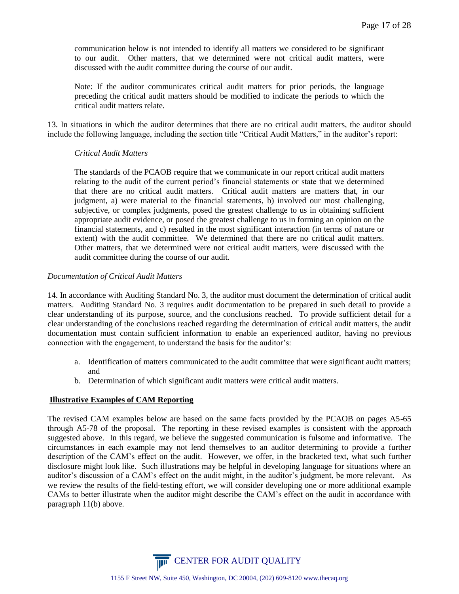communication below is not intended to identify all matters we considered to be significant to our audit. Other matters, that we determined were not critical audit matters, were discussed with the audit committee during the course of our audit.

Note: If the auditor communicates critical audit matters for prior periods, the language preceding the critical audit matters should be modified to indicate the periods to which the critical audit matters relate.

13. In situations in which the auditor determines that there are no critical audit matters, the auditor should include the following language, including the section title "Critical Audit Matters," in the auditor's report:

### *Critical Audit Matters*

The standards of the PCAOB require that we communicate in our report critical audit matters relating to the audit of the current period's financial statements or state that we determined that there are no critical audit matters. Critical audit matters are matters that, in our judgment, a) were material to the financial statements, b) involved our most challenging, subjective, or complex judgments, posed the greatest challenge to us in obtaining sufficient appropriate audit evidence, or posed the greatest challenge to us in forming an opinion on the financial statements, and c) resulted in the most significant interaction (in terms of nature or extent) with the audit committee. We determined that there are no critical audit matters. Other matters, that we determined were not critical audit matters, were discussed with the audit committee during the course of our audit.

### *Documentation of Critical Audit Matters*

14. In accordance with Auditing Standard No. 3, the auditor must document the determination of critical audit matters. Auditing Standard No. 3 requires audit documentation to be prepared in such detail to provide a clear understanding of its purpose, source, and the conclusions reached. To provide sufficient detail for a clear understanding of the conclusions reached regarding the determination of critical audit matters, the audit documentation must contain sufficient information to enable an experienced auditor, having no previous connection with the engagement, to understand the basis for the auditor's:

- a. Identification of matters communicated to the audit committee that were significant audit matters; and
- b. Determination of which significant audit matters were critical audit matters.

## **Illustrative Examples of CAM Reporting**

The revised CAM examples below are based on the same facts provided by the PCAOB on pages A5-65 through A5-78 of the proposal. The reporting in these revised examples is consistent with the approach suggested above. In this regard, we believe the suggested communication is fulsome and informative. The circumstances in each example may not lend themselves to an auditor determining to provide a further description of the CAM's effect on the audit. However, we offer, in the bracketed text, what such further disclosure might look like. Such illustrations may be helpful in developing language for situations where an auditor's discussion of a CAM's effect on the audit might, in the auditor's judgment, be more relevant. As we review the results of the field-testing effort, we will consider developing one or more additional example CAMs to better illustrate when the auditor might describe the CAM's effect on the audit in accordance with paragraph 11(b) above.

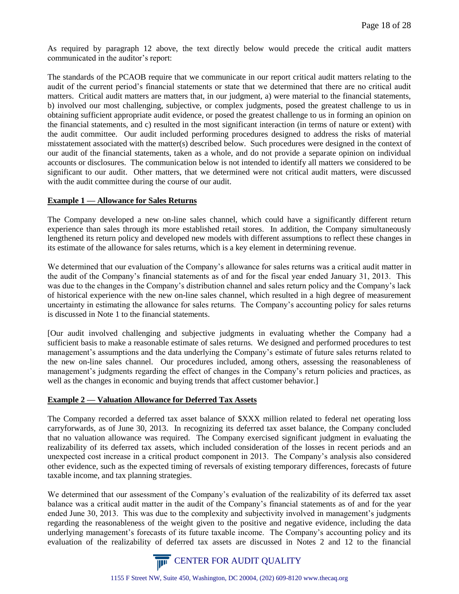As required by paragraph 12 above, the text directly below would precede the critical audit matters communicated in the auditor's report:

The standards of the PCAOB require that we communicate in our report critical audit matters relating to the audit of the current period's financial statements or state that we determined that there are no critical audit matters. Critical audit matters are matters that, in our judgment, a) were material to the financial statements, b) involved our most challenging, subjective, or complex judgments, posed the greatest challenge to us in obtaining sufficient appropriate audit evidence, or posed the greatest challenge to us in forming an opinion on the financial statements, and c) resulted in the most significant interaction (in terms of nature or extent) with the audit committee. Our audit included performing procedures designed to address the risks of material misstatement associated with the matter(s) described below. Such procedures were designed in the context of our audit of the financial statements, taken as a whole, and do not provide a separate opinion on individual accounts or disclosures. The communication below is not intended to identify all matters we considered to be significant to our audit. Other matters, that we determined were not critical audit matters, were discussed with the audit committee during the course of our audit.

### **Example 1 — Allowance for Sales Returns**

The Company developed a new on-line sales channel, which could have a significantly different return experience than sales through its more established retail stores. In addition, the Company simultaneously lengthened its return policy and developed new models with different assumptions to reflect these changes in its estimate of the allowance for sales returns, which is a key element in determining revenue.

We determined that our evaluation of the Company's allowance for sales returns was a critical audit matter in the audit of the Company's financial statements as of and for the fiscal year ended January 31, 2013. This was due to the changes in the Company's distribution channel and sales return policy and the Company's lack of historical experience with the new on-line sales channel, which resulted in a high degree of measurement uncertainty in estimating the allowance for sales returns. The Company's accounting policy for sales returns is discussed in Note 1 to the financial statements.

[Our audit involved challenging and subjective judgments in evaluating whether the Company had a sufficient basis to make a reasonable estimate of sales returns. We designed and performed procedures to test management's assumptions and the data underlying the Company's estimate of future sales returns related to the new on-line sales channel. Our procedures included, among others, assessing the reasonableness of management's judgments regarding the effect of changes in the Company's return policies and practices, as well as the changes in economic and buying trends that affect customer behavior.

## **Example 2 — Valuation Allowance for Deferred Tax Assets**

The Company recorded a deferred tax asset balance of \$XXX million related to federal net operating loss carryforwards, as of June 30, 2013. In recognizing its deferred tax asset balance, the Company concluded that no valuation allowance was required. The Company exercised significant judgment in evaluating the realizability of its deferred tax assets, which included consideration of the losses in recent periods and an unexpected cost increase in a critical product component in 2013. The Company's analysis also considered other evidence, such as the expected timing of reversals of existing temporary differences, forecasts of future taxable income, and tax planning strategies.

We determined that our assessment of the Company's evaluation of the realizability of its deferred tax asset balance was a critical audit matter in the audit of the Company's financial statements as of and for the year ended June 30, 2013. This was due to the complexity and subjectivity involved in management's judgments regarding the reasonableness of the weight given to the positive and negative evidence, including the data underlying management's forecasts of its future taxable income. The Company's accounting policy and its evaluation of the realizability of deferred tax assets are discussed in Notes 2 and 12 to the financial

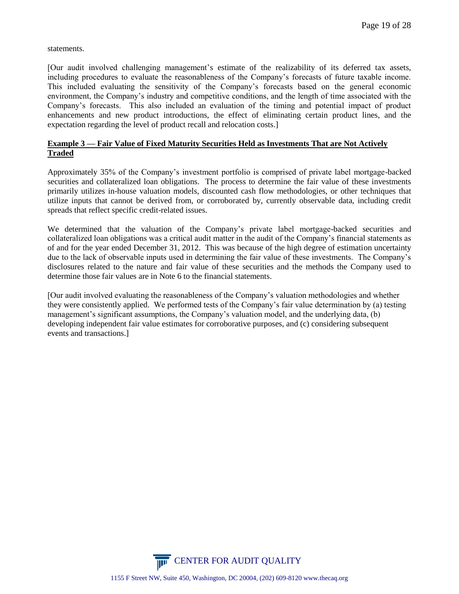statements.

[Our audit involved challenging management's estimate of the realizability of its deferred tax assets, including procedures to evaluate the reasonableness of the Company's forecasts of future taxable income. This included evaluating the sensitivity of the Company's forecasts based on the general economic environment, the Company's industry and competitive conditions, and the length of time associated with the Company's forecasts. This also included an evaluation of the timing and potential impact of product enhancements and new product introductions, the effect of eliminating certain product lines, and the expectation regarding the level of product recall and relocation costs.]

# **Example 3 — Fair Value of Fixed Maturity Securities Held as Investments That are Not Actively Traded**

Approximately 35% of the Company's investment portfolio is comprised of private label mortgage-backed securities and collateralized loan obligations. The process to determine the fair value of these investments primarily utilizes in-house valuation models, discounted cash flow methodologies, or other techniques that utilize inputs that cannot be derived from, or corroborated by, currently observable data, including credit spreads that reflect specific credit-related issues.

We determined that the valuation of the Company's private label mortgage-backed securities and collateralized loan obligations was a critical audit matter in the audit of the Company's financial statements as of and for the year ended December 31, 2012. This was because of the high degree of estimation uncertainty due to the lack of observable inputs used in determining the fair value of these investments. The Company's disclosures related to the nature and fair value of these securities and the methods the Company used to determine those fair values are in Note 6 to the financial statements.

[Our audit involved evaluating the reasonableness of the Company's valuation methodologies and whether they were consistently applied. We performed tests of the Company's fair value determination by (a) testing management's significant assumptions, the Company's valuation model, and the underlying data, (b) developing independent fair value estimates for corroborative purposes, and (c) considering subsequent events and transactions.]

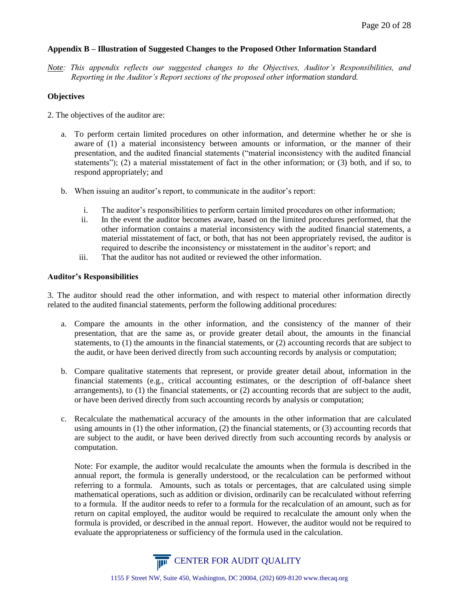## **Appendix B – Illustration of Suggested Changes to the Proposed Other Information Standard**

*Note: This appendix reflects our suggested changes to the Objectives, Auditor's Responsibilities, and Reporting in the Auditor's Report sections of the proposed other information standard.*

## **Objectives**

- 2. The objectives of the auditor are:
	- a. To perform certain limited procedures on other information, and determine whether he or she is aware of (1) a material inconsistency between amounts or information, or the manner of their presentation, and the audited financial statements ("material inconsistency with the audited financial statements"); (2) a material misstatement of fact in the other information; or (3) both, and if so, to respond appropriately; and
	- b. When issuing an auditor's report, to communicate in the auditor's report:
		- i. The auditor's responsibilities to perform certain limited procedures on other information;
		- ii. In the event the auditor becomes aware, based on the limited procedures performed, that the other information contains a material inconsistency with the audited financial statements, a material misstatement of fact, or both, that has not been appropriately revised, the auditor is required to describe the inconsistency or misstatement in the auditor's report; and
		- iii. That the auditor has not audited or reviewed the other information.

### **Auditor's Responsibilities**

3. The auditor should read the other information, and with respect to material other information directly related to the audited financial statements, perform the following additional procedures:

- a. Compare the amounts in the other information, and the consistency of the manner of their presentation, that are the same as, or provide greater detail about, the amounts in the financial statements, to (1) the amounts in the financial statements, or (2) accounting records that are subject to the audit, or have been derived directly from such accounting records by analysis or computation;
- b. Compare qualitative statements that represent, or provide greater detail about, information in the financial statements (e.g., critical accounting estimates, or the description of off-balance sheet arrangements), to (1) the financial statements, or (2) accounting records that are subject to the audit, or have been derived directly from such accounting records by analysis or computation;
- c. Recalculate the mathematical accuracy of the amounts in the other information that are calculated using amounts in (1) the other information, (2) the financial statements, or (3) accounting records that are subject to the audit, or have been derived directly from such accounting records by analysis or computation.

Note: For example, the auditor would recalculate the amounts when the formula is described in the annual report, the formula is generally understood, or the recalculation can be performed without referring to a formula. Amounts, such as totals or percentages, that are calculated using simple mathematical operations, such as addition or division, ordinarily can be recalculated without referring to a formula. If the auditor needs to refer to a formula for the recalculation of an amount, such as for return on capital employed, the auditor would be required to recalculate the amount only when the formula is provided, or described in the annual report. However, the auditor would not be required to evaluate the appropriateness or sufficiency of the formula used in the calculation.

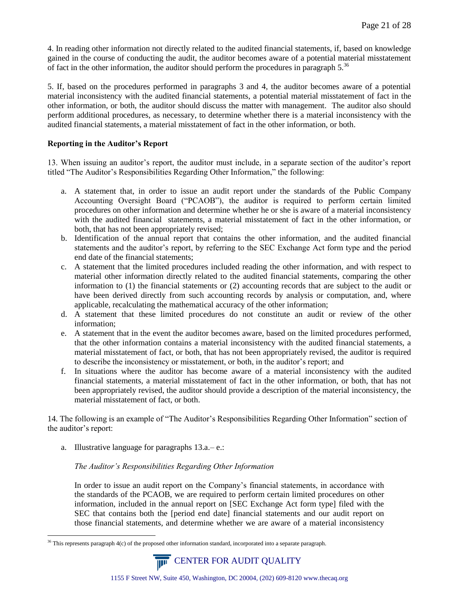4. In reading other information not directly related to the audited financial statements, if, based on knowledge gained in the course of conducting the audit, the auditor becomes aware of a potential material misstatement of fact in the other information, the auditor should perform the procedures in paragraph  $5^{36}$ 

5. If, based on the procedures performed in paragraphs 3 and 4, the auditor becomes aware of a potential material inconsistency with the audited financial statements, a potential material misstatement of fact in the other information, or both, the auditor should discuss the matter with management. The auditor also should perform additional procedures, as necessary, to determine whether there is a material inconsistency with the audited financial statements, a material misstatement of fact in the other information, or both.

## **Reporting in the Auditor's Report**

13. When issuing an auditor's report, the auditor must include, in a separate section of the auditor's report titled "The Auditor's Responsibilities Regarding Other Information," the following:

- a. A statement that, in order to issue an audit report under the standards of the Public Company Accounting Oversight Board ("PCAOB"), the auditor is required to perform certain limited procedures on other information and determine whether he or she is aware of a material inconsistency with the audited financial statements, a material misstatement of fact in the other information, or both, that has not been appropriately revised;
- b. Identification of the annual report that contains the other information, and the audited financial statements and the auditor's report, by referring to the SEC Exchange Act form type and the period end date of the financial statements;
- c. A statement that the limited procedures included reading the other information, and with respect to material other information directly related to the audited financial statements, comparing the other information to (1) the financial statements or (2) accounting records that are subject to the audit or have been derived directly from such accounting records by analysis or computation, and, where applicable, recalculating the mathematical accuracy of the other information;
- d. A statement that these limited procedures do not constitute an audit or review of the other information;
- e. A statement that in the event the auditor becomes aware, based on the limited procedures performed, that the other information contains a material inconsistency with the audited financial statements, a material misstatement of fact, or both, that has not been appropriately revised, the auditor is required to describe the inconsistency or misstatement, or both, in the auditor's report; and
- f. In situations where the auditor has become aware of a material inconsistency with the audited financial statements, a material misstatement of fact in the other information, or both, that has not been appropriately revised, the auditor should provide a description of the material inconsistency, the material misstatement of fact, or both.

14. The following is an example of "The Auditor's Responsibilities Regarding Other Information" section of the auditor's report:

a. Illustrative language for paragraphs 13.a.– e.:

# *The Auditor's Responsibilities Regarding Other Information*

In order to issue an audit report on the Company's financial statements, in accordance with the standards of the PCAOB, we are required to perform certain limited procedures on other information, included in the annual report on [SEC Exchange Act form type] filed with the SEC that contains both the [period end date] financial statements and our audit report on those financial statements, and determine whether we are aware of a material inconsistency

 $\overline{a}$  $36$  This represents paragraph  $4(c)$  of the proposed other information standard, incorporated into a separate paragraph.

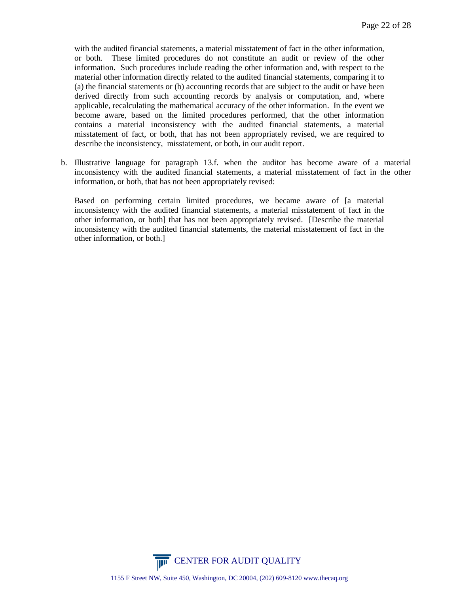with the audited financial statements, a material misstatement of fact in the other information, or both. These limited procedures do not constitute an audit or review of the other information. Such procedures include reading the other information and, with respect to the material other information directly related to the audited financial statements, comparing it to (a) the financial statements or (b) accounting records that are subject to the audit or have been derived directly from such accounting records by analysis or computation, and, where applicable, recalculating the mathematical accuracy of the other information. In the event we become aware, based on the limited procedures performed, that the other information contains a material inconsistency with the audited financial statements, a material misstatement of fact, or both, that has not been appropriately revised, we are required to describe the inconsistency, misstatement, or both, in our audit report.

b. Illustrative language for paragraph 13.f. when the auditor has become aware of a material inconsistency with the audited financial statements, a material misstatement of fact in the other information, or both, that has not been appropriately revised:

Based on performing certain limited procedures, we became aware of [a material inconsistency with the audited financial statements, a material misstatement of fact in the other information, or both] that has not been appropriately revised. [Describe the material inconsistency with the audited financial statements, the material misstatement of fact in the other information, or both.]

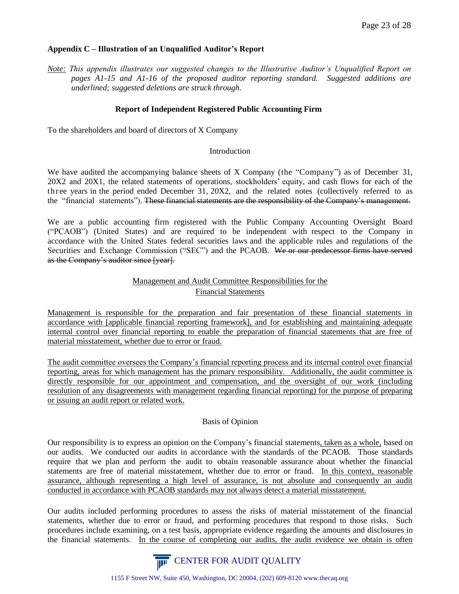# **Appendix C – Illustration of an Unqualified Auditor's Report**

*Note: This appendix illustrates our suggested changes to the Illustrative Auditor's Unqualified Report on pages A1-15 and A1-16 of the proposed auditor reporting standard. Suggested additions are underlined; suggested deletions are struck through.*

# **Report of Independent Registered Public Accounting Firm**

To the shareholders and board of directors of X Company

### **Introduction**

We have audited the accompanying balance sheets of X Company (the "Company") as of December 31, 20X2 and 20X1, the related statements of operations, stockholders' equity, and cash flows for each of the thr ee years in the period ended December 31, 20X2, and the related notes (collectively referred to as the "financial statements"). These financial statements are the responsibility of the Company's management.

We are a public accounting firm registered with the Public Company Accounting Oversight Board ("PCAOB") (United States) and are required to be independent with respect to the Company in accordance with the United States federal securities laws and the applicable rules and regulations of the Securities and Exchange Commission ("SEC") and the PCAOB. We or our predecessor firms have served as the Company's auditor since [year].

# Management and Audit Committee Responsibilities for the Financial Statements

Management is responsible for the preparation and fair presentation of these financial statements in accordance with [applicable financial reporting framework], and for establishing and maintaining adequate internal control over financial reporting to enable the preparation of financial statements that are free of material misstatement, whether due to error or fraud.

The audit committee oversees the Company's financial reporting process and its internal control over financial reporting, areas for which management has the primary responsibility. Additionally, the audit committee is directly responsible for our appointment and compensation, and the oversight of our work (including resolution of any disagreements with management regarding financial reporting) for the purpose of preparing or issuing an audit report or related work.

## Basis of Opinion

Our responsibility is to express an opinion on the Company's financial statements, taken as a whole, based on our audits. We conducted our audits in accordance with the standards of the PCAOB. Those standards require that we plan and perform the audit to obtain reasonable assurance about whether the financial statements are free of material misstatement, whether due to error or fraud. In this context, reasonable assurance, although representing a high level of assurance, is not absolute and consequently an audit conducted in accordance with PCAOB standards may not always detect a material misstatement.

Our audits included performing procedures to assess the risks of material misstatement of the financial statements, whether due to error or fraud, and performing procedures that respond to those risks. Such procedures include examining, on a test basis, appropriate evidence regarding the amounts and disclosures in the financial statements. In the course of completing our audits, the audit evidence we obtain is often

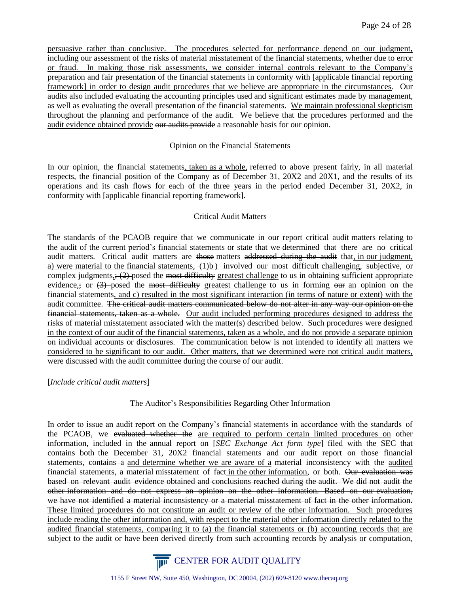persuasive rather than conclusive. The procedures selected for performance depend on our judgment, including our assessment of the risks of material misstatement of the financial statements, whether due to error or fraud. In making those risk assessments, we consider internal controls relevant to the Company's preparation and fair presentation of the financial statements in conformity with [applicable financial reporting framework] in order to design audit procedures that we believe are appropriate in the circumstances. Our audits also included evaluating the accounting principles used and significant estimates made by management, as well as evaluating the overall presentation of the financial statements. We maintain professional skepticism throughout the planning and performance of the audit. We believe that the procedures performed and the audit evidence obtained provide our audits provide a reasonable basis for our opinion.

## Opinion on the Financial Statements

In our opinion, the financial statements, taken as a whole, referred to above present fairly, in all material respects, the financial position of the Company as of December 31, 20X2 and 20X1, and the results of its operations and its cash flows for each of the three years in the period ended December 31, 20X2, in conformity with [applicable financial reporting framework].

## Critical Audit Matters

The standards of the PCAOB require that we communicate in our report critical audit matters relating to the audit of the current period's financial statements or state that we determined that there are no critical audit matters. Critical audit matters are those matters addressed during the audit that, in our judgment, a) were material to the financial statements,  $(1)$ b involved our most difficult challenging, subjective, or complex judgments<sub>s</sub>; (2) posed the most difficulty greatest challenge to us in obtaining sufficient appropriate evidence,; or  $(3)$ -posed the most difficulty greatest challenge to us in forming our an opinion on the financial statements, and c) resulted in the most significant interaction (in terms of nature or extent) with the audit committee. The critical audit matters communicated below do not alter in any way our opinion on the financial statements, taken as a whole. Our audit included performing procedures designed to address the risks of material misstatement associated with the matter(s) described below. Such procedures were designed in the context of our audit of the financial statements, taken as a whole, and do not provide a separate opinion on individual accounts or disclosures. The communication below is not intended to identify all matters we considered to be significant to our audit. Other matters, that we determined were not critical audit matters, were discussed with the audit committee during the course of our audit.

## [*Include critical audit matters*]

## The Auditor's Responsibilities Regarding Other Information

In order to issue an audit report on the Company's financial statements in accordance with the standards of the PCAOB, we evaluated whether the are required to perform certain limited procedures on other information, included in the annual report on [*SEC Exchange Act form type*] filed with the SEC that contains both the December 31, 20X2 financial statements and our audit report on those financial statements, contains a and determine whether we are aware of a material inconsistency with the audited financial statements, a material misstatement of fact in the other information, or both. Our evaluation was based on relevant audit evidence obtained and conclusions reached during the audit. We did not audit the other information and do not express an opinion on the other information. Based on our evaluation, we have not identified a material inconsistency or a material misstatement of fact in the other information. These limited procedures do not constitute an audit or review of the other information. Such procedures include reading the other information and, with respect to the material other information directly related to the audited financial statements, comparing it to (a) the financial statements or (b) accounting records that are subject to the audit or have been derived directly from such accounting records by analysis or computation,

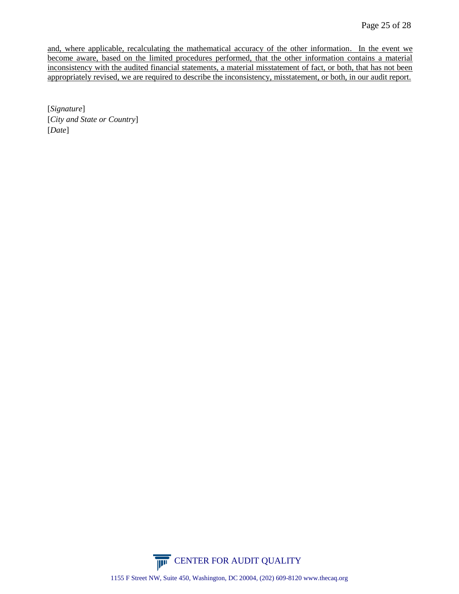and, where applicable, recalculating the mathematical accuracy of the other information. In the event we become aware, based on the limited procedures performed, that the other information contains a material inconsistency with the audited financial statements, a material misstatement of fact, or both, that has not been appropriately revised, we are required to describe the inconsistency, misstatement, or both, in our audit report.

[*Signature*] [*City and State or Country*] [*Date*]

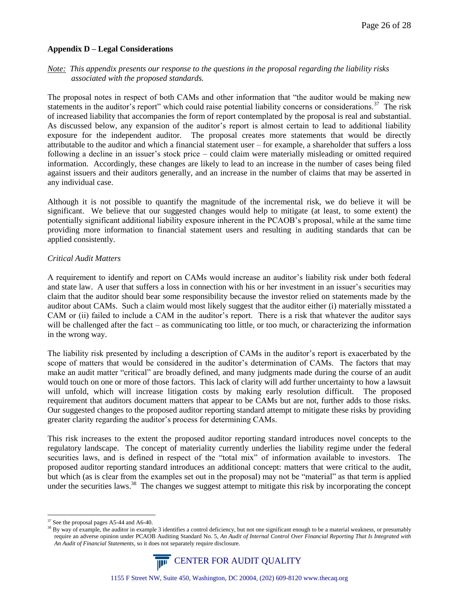### **Appendix D – Legal Considerations**

# *Note: This appendix presents our response to the questions in the proposal regarding the liability risks associated with the proposed standards.*

The proposal notes in respect of both CAMs and other information that "the auditor would be making new statements in the auditor's report" which could raise potential liability concerns or considerations.<sup>37</sup> The risk of increased liability that accompanies the form of report contemplated by the proposal is real and substantial. As discussed below, any expansion of the auditor's report is almost certain to lead to additional liability exposure for the independent auditor. The proposal creates more statements that would be directly attributable to the auditor and which a financial statement user – for example, a shareholder that suffers a loss following a decline in an issuer's stock price – could claim were materially misleading or omitted required information. Accordingly, these changes are likely to lead to an increase in the number of cases being filed against issuers and their auditors generally, and an increase in the number of claims that may be asserted in any individual case.

Although it is not possible to quantify the magnitude of the incremental risk, we do believe it will be significant. We believe that our suggested changes would help to mitigate (at least, to some extent) the potentially significant additional liability exposure inherent in the PCAOB's proposal, while at the same time providing more information to financial statement users and resulting in auditing standards that can be applied consistently.

### *Critical Audit Matters*

A requirement to identify and report on CAMs would increase an auditor's liability risk under both federal and state law. A user that suffers a loss in connection with his or her investment in an issuer's securities may claim that the auditor should bear some responsibility because the investor relied on statements made by the auditor about CAMs. Such a claim would most likely suggest that the auditor either (i) materially misstated a CAM or (ii) failed to include a CAM in the auditor's report. There is a risk that whatever the auditor says will be challenged after the fact – as communicating too little, or too much, or characterizing the information in the wrong way.

The liability risk presented by including a description of CAMs in the auditor's report is exacerbated by the scope of matters that would be considered in the auditor's determination of CAMs. The factors that may make an audit matter "critical" are broadly defined, and many judgments made during the course of an audit would touch on one or more of those factors. This lack of clarity will add further uncertainty to how a lawsuit will unfold, which will increase litigation costs by making early resolution difficult. The proposed requirement that auditors document matters that appear to be CAMs but are not, further adds to those risks. Our suggested changes to the proposed auditor reporting standard attempt to mitigate these risks by providing greater clarity regarding the auditor's process for determining CAMs.

This risk increases to the extent the proposed auditor reporting standard introduces novel concepts to the regulatory landscape. The concept of materiality currently underlies the liability regime under the federal securities laws, and is defined in respect of the "total mix" of information available to investors. The proposed auditor reporting standard introduces an additional concept: matters that were critical to the audit, but which (as is clear from the examples set out in the proposal) may not be "material" as that term is applied under the securities laws.<sup>38</sup> The changes we suggest attempt to mitigate this risk by incorporating the concept

<sup>&</sup>lt;sup>38</sup> By way of example, the auditor in example 3 identifies a control deficiency, but not one significant enough to be a material weakness, or presumably require an adverse opinion under PCAOB Auditing Standard No. 5, *An Audit of Internal Control Over Financial Reporting That Is Integrated with An Audit of Financial Statements*, so it does not separately require disclosure.



<sup>&</sup>lt;sup>37</sup> See the proposal pages A5-44 and A6-40.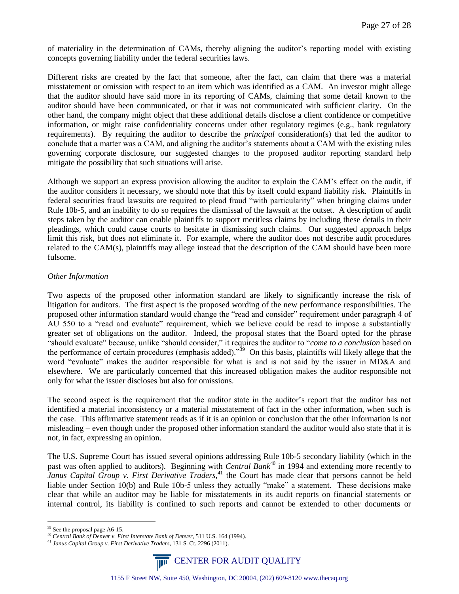of materiality in the determination of CAMs, thereby aligning the auditor's reporting model with existing concepts governing liability under the federal securities laws.

Different risks are created by the fact that someone, after the fact, can claim that there was a material misstatement or omission with respect to an item which was identified as a CAM. An investor might allege that the auditor should have said more in its reporting of CAMs, claiming that some detail known to the auditor should have been communicated, or that it was not communicated with sufficient clarity. On the other hand, the company might object that these additional details disclose a client confidence or competitive information, or might raise confidentiality concerns under other regulatory regimes (e.g., bank regulatory requirements). By requiring the auditor to describe the *principal* consideration(s) that led the auditor to conclude that a matter was a CAM, and aligning the auditor's statements about a CAM with the existing rules governing corporate disclosure, our suggested changes to the proposed auditor reporting standard help mitigate the possibility that such situations will arise.

Although we support an express provision allowing the auditor to explain the CAM's effect on the audit, if the auditor considers it necessary, we should note that this by itself could expand liability risk. Plaintiffs in federal securities fraud lawsuits are required to plead fraud "with particularity" when bringing claims under Rule 10b-5, and an inability to do so requires the dismissal of the lawsuit at the outset. A description of audit steps taken by the auditor can enable plaintiffs to support meritless claims by including these details in their pleadings, which could cause courts to hesitate in dismissing such claims. Our suggested approach helps limit this risk, but does not eliminate it. For example, where the auditor does not describe audit procedures related to the CAM(s), plaintiffs may allege instead that the description of the CAM should have been more fulsome.

### *Other Information*

Two aspects of the proposed other information standard are likely to significantly increase the risk of litigation for auditors. The first aspect is the proposed wording of the new performance responsibilities. The proposed other information standard would change the "read and consider" requirement under paragraph 4 of AU 550 to a "read and evaluate" requirement, which we believe could be read to impose a substantially greater set of obligations on the auditor. Indeed, the proposal states that the Board opted for the phrase "should evaluate" because, unlike "should consider," it requires the auditor to "*come to a conclusion* based on the performance of certain procedures (emphasis added)."<sup>39</sup> On this basis, plaintiffs will likely allege that the word "evaluate" makes the auditor responsible for what is and is not said by the issuer in MD&A and elsewhere. We are particularly concerned that this increased obligation makes the auditor responsible not only for what the issuer discloses but also for omissions.

The second aspect is the requirement that the auditor state in the auditor's report that the auditor has not identified a material inconsistency or a material misstatement of fact in the other information, when such is the case. This affirmative statement reads as if it is an opinion or conclusion that the other information is not misleading – even though under the proposed other information standard the auditor would also state that it is not, in fact, expressing an opinion.

The U.S. Supreme Court has issued several opinions addressing Rule 10b-5 secondary liability (which in the past was often applied to auditors). Beginning with *Central Bank*<sup>40</sup> in 1994 and extending more recently to *Janus Capital Group v. First Derivative Traders*,<sup>41</sup> the Court has made clear that persons cannot be held liable under Section 10(b) and Rule 10b-5 unless they actually "make" a statement. These decisions make clear that while an auditor may be liable for misstatements in its audit reports on financial statements or internal control, its liability is confined to such reports and cannot be extended to other documents or

<sup>41</sup> *Janus Capital Group v. First Derivative Traders*, 131 S. Ct. 2296 (2011).



<sup>39</sup> See the proposal page A6-15.

<sup>40</sup> *Central Bank of Denver v. First Interstate Bank of Denver*, 511 U.S. 164 (1994).